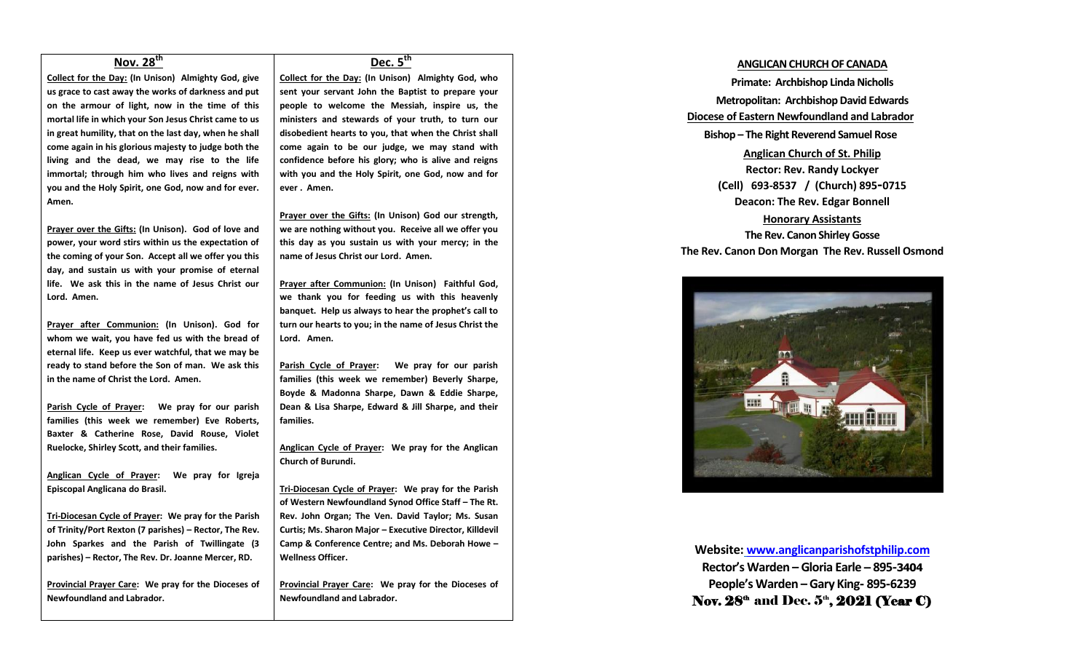# **Nov. 28th**

**Collect for the Day: (In Unison) Almighty God, give us grace to cast away the works of darkness and put on the armour of light, now in the time of this mortal life in which your Son Jesus Christ came to us in great humility, that on the last day, when he shall come again in his glorious majesty to judge both the living and the dead, we may rise to the life immortal; through him who lives and reigns with you and the Holy Spirit, one God, now and for ever. Amen.**

**Prayer over the Gifts: (In Unison). God of love and power, your word stirs within us the expectation of the coming of your Son. Accept all we offer you this day, and sustain us with your promise of eternal life. We ask this in the name of Jesus Christ our Lord. Amen.**

**Prayer after Communion: (In Unison). God for whom we wait, you have fed us with the bread of eternal life. Keep us ever watchful, that we may be ready to stand before the Son of man. We ask this in the name of Christ the Lord. Amen.**

**Parish Cycle of Prayer: We pray for our parish families (this week we remember) Eve Roberts, Baxter & Catherine Rose, David Rouse, Violet Ruelocke, Shirley Scott, and their families.**

**Anglican Cycle of Prayer: We pray for Igreja Episcopal Anglicana do Brasil.**

**Tri-Diocesan Cycle of Prayer: We pray for the Parish of Trinity/Port Rexton (7 parishes) – Rector, The Rev. John Sparkes and the Parish of Twillingate (3 parishes) – Rector, The Rev. Dr. Joanne Mercer, RD.**

**Provincial Prayer Care: We pray for the Dioceses of Newfoundland and Labrador.**

## **Dec. 5th**

**Collect for the Day: (In Unison) Almighty God, who sent your servant John the Baptist to prepare your people to welcome the Messiah, inspire us, the ministers and stewards of your truth, to turn our disobedient hearts to you, that when the Christ shall come again to be our judge, we may stand with confidence before his glory; who is alive and reigns with you and the Holy Spirit, one God, now and for ever . Amen.**

**Prayer over the Gifts: (In Unison) God our strength, we are nothing without you. Receive all we offer you this day as you sustain us with your mercy; in the name of Jesus Christ our Lord. Amen.**

**Prayer after Communion: (In Unison) Faithful God, we thank you for feeding us with this heavenly banquet. Help us always to hear the prophet's call to turn our hearts to you; in the name of Jesus Christ the Lord. Amen.**

**Parish Cycle of Prayer: We pray for our parish families (this week we remember) Beverly Sharpe, Boyde & Madonna Sharpe, Dawn & Eddie Sharpe, Dean & Lisa Sharpe, Edward & Jill Sharpe, and their families.**

**Anglican Cycle of Prayer: We pray for the Anglican Church of Burundi.**

**Tri-Diocesan Cycle of Prayer: We pray for the Parish of Western Newfoundland Synod Office Staff – The Rt. Rev. John Organ; The Ven. David Taylor; Ms. Susan Curtis; Ms. Sharon Major – Executive Director, Killdevil Camp & Conference Centre; and Ms. Deborah Howe – Wellness Officer.**

**Provincial Prayer Care: We pray for the Dioceses of Newfoundland and Labrador.**

### **ANGLICAN CHURCH OF CANADA**

**Primate: Archbishop Linda Nicholls Metropolitan: Archbishop David Edwards Diocese of Eastern Newfoundland and Labrador Bishop – The Right Reverend Samuel Rose Anglican Church of St. Philip Rector: Rev. Randy Lockyer (Cell) 693-8537 / (Church) 895-0715 Deacon: The Rev. Edgar Bonnell Honorary Assistants The Rev. Canon Shirley Gosse The Rev. Canon Don Morgan The Rev. Russell Osmond**



**Website: [www.anglicanparishofstphilip.com](http://www.anglicanparishofstphilip.com/) Rector's Warden – Gloria Earle – 895-3404 People's Warden – Gary King- 895-6239** Nov.  $28^{\text{th}}$  and Dec.  $5^{\text{th}}$ ,  $2021$  (Year C)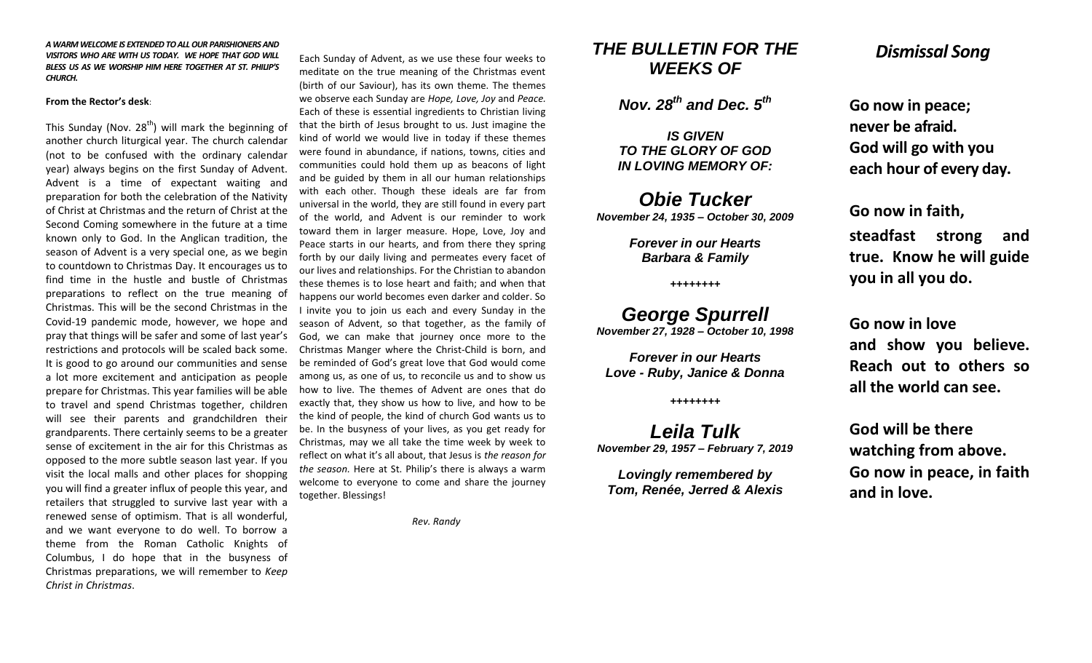#### *A WARM WELCOME IS EXTENDED TO ALL OUR PARISHIONERS AND VISITORS WHO ARE WITH US TODAY. WE HOPE THAT GOD WILL BLESS US AS WE WORSHIP HIM HERE TOGETHER AT ST. PHILIP'S CHURCH.*

#### **From the Rector's desk**:

This Sunday (Nov. 28<sup>th</sup>) will mark the beginning of another church liturgical year. The church calendar (not to be confused with the ordinary calendar year) always begins on the first Sunday of Advent. Advent is a time of expectant waiting and preparation for both the celebration of the Nativity of Christ at Christmas and the return of Christ at the Second Coming somewhere in the future at a time known only to God. In the Anglican tradition, the season of Advent is a very special one, as we begin to countdown to Christmas Day. It encourages us to find time in the hustle and bustle of Christmas preparations to reflect on the true meaning of Christmas. This will be the second Christmas in the Covid-19 pandemic mode, however, we hope and pray that things will be safer and some of last year's restrictions and protocols will be scaled back some. It is good to go around our communities and sense a lot more excitement and anticipation as people prepare for Christmas. This year families will be able to travel and spend Christmas together, children will see their parents and grandchildren their grandparents. There certainly seems to be a greater sense of excitement in the air for this Christmas as opposed to the more subtle season last year. If you visit the local malls and other places for shopping you will find a greater influx of people this year, and retailers that struggled to survive last year with a renewed sense of optimism. That is all wonderful, and we want everyone to do well. To borrow a theme from the Roman Catholic Knights of Columbus, I do hope that in the busyness of Christmas preparations, we will remember to *Keep Christ in Christmas*.

Each Sunday of Advent, as we use these four weeks to meditate on the true meaning of the Christmas event (birth of our Saviour), has its own theme. The themes we observe each Sunday are *Hope, Love, Joy* and *Peace.*  Each of these is essential ingredients to Christian living that the birth of Jesus brought to us. Just imagine the kind of world we would live in today if these themes were found in abundance, if nations, towns, cities and communities could hold them up as beacons of light and be guided by them in all our human relationships with each other. Though these ideals are far from universal in the world, they are still found in every part of the world, and Advent is our reminder to work toward them in larger measure. Hope, Love, Joy and Peace starts in our hearts, and from there they spring forth by our daily living and permeates every facet of our lives and relationships. For the Christian to abandon these themes is to lose heart and faith; and when that happens our world becomes even darker and colder. So I invite you to join us each and every Sunday in the season of Advent, so that together, as the family of God, we can make that journey once more to the Christmas Manger where the Christ-Child is born, and be reminded of God's great love that God would come among us, as one of us, to reconcile us and to show us how to live. The themes of Advent are ones that do exactly that, they show us how to live, and how to be the kind of people, the kind of church God wants us to be. In the busyness of your lives, as you get ready for Christmas, may we all take the time week by week to reflect on what it's all about, that Jesus is *the reason for the season.* Here at St. Philip's there is always a warm welcome to everyone to come and share the journey together. Blessings!

 *Rev. Randy*

# *THE BULLETIN FOR THE WEEKS OF*

*Nov. 28th and Dec. 5th*

*IS GIVEN TO THE GLORY OF GOD IN LOVING MEMORY OF:*

*Obie Tucker November 24, 1935 – October 30, 2009*

> *Forever in our Hearts Barbara & Family*

> > *++++++++*

*George Spurrell November 27, 1928 – October 10, 1998*

*Forever in our Hearts Love - Ruby, Janice & Donna*

*++++++++*

*Leila Tulk November 29, 1957 – February 7, 2019*

*Lovingly remembered by Tom, Renée, Jerred & Alexis*

# *Dismissal Song*

**Go now in peace; never be afraid. God will go with you each hour of every day.**

**Go now in faith,** 

**steadfast strong and true. Know he will guide you in all you do.**

**Go now in love and show you believe. Reach out to others so all the world can see.**

**God will be there watching from above. Go now in peace, in faith and in love.**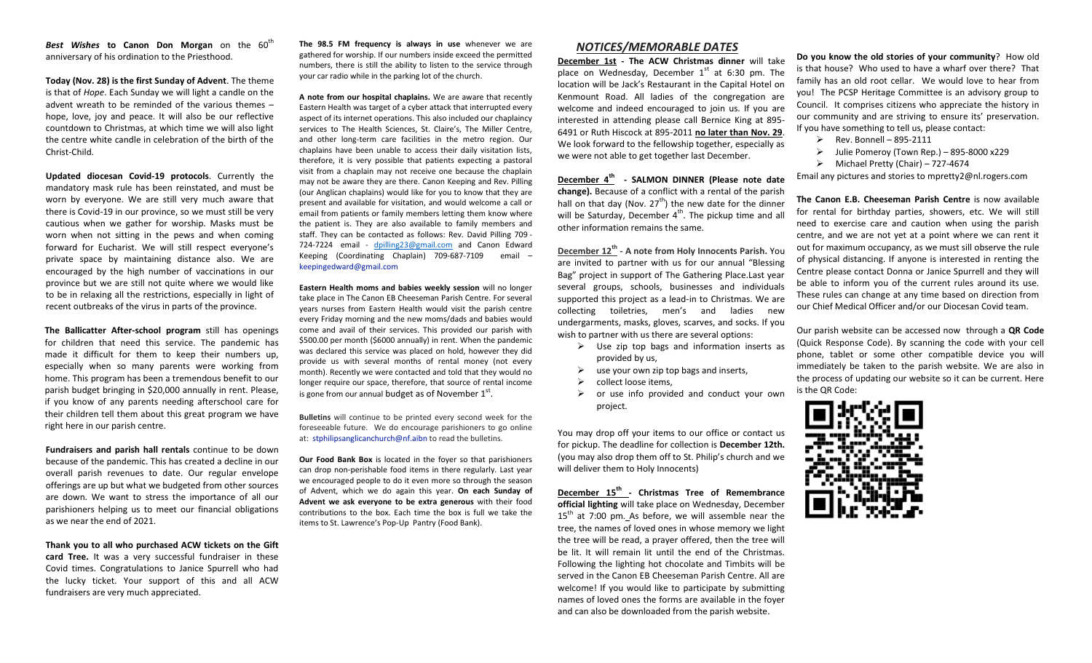**Best Wishes to Canon Don Morgan** on the 60<sup>th</sup> anniversary of his ordination to the Priesthood.

**Today (Nov. 28) is the first Sunday of Advent**. The theme is that of *Hope*. Each Sunday we will light a candle on the advent wreath to be reminded of the various themes – hope, love, joy and peace. It will also be our reflective countdown to Christmas, at which time we will also light the centre white candle in celebration of the birth of the Christ-Child.

**Updated diocesan Covid-19 protocols**. Currently the mandatory mask rule has been reinstated, and must be worn by everyone. We are still very much aware that there is Covid-19 in our province, so we must still be very cautious when we gather for worship. Masks must be worn when not sitting in the pews and when coming forward for Eucharist. We will still respect everyone's private space by maintaining distance also. We are encouraged by the high number of vaccinations in our province but we are still not quite where we would like to be in relaxing all the restrictions, especially in light of recent outbreaks of the virus in parts of the province.

**The Ballicatter After-school program** still has openings for children that need this service. The pandemic has made it difficult for them to keep their numbers up, especially when so many parents were working from home. This program has been a tremendous benefit to our parish budget bringing in \$20,000 annually in rent. Please, if you know of any parents needing afterschool care for their children tell them about this great program we have right here in our parish centre.

**Fundraisers and parish hall rentals** continue to be down because of the pandemic. This has created a decline in our overall parish revenues to date. Our regular envelope offerings are up but what we budgeted from other sources are down. We want to stress the importance of all our parishioners helping us to meet our financial obligations as we near the end of 2021.

**Thank you to all who purchased ACW tickets on the Gift card Tree.** It was a very successful fundraiser in these Covid times. Congratulations to Janice Spurrell who had the lucky ticket. Your support of this and all ACW fundraisers are very much appreciated.

**The 98.5 FM frequency is always in use** whenever we are gathered for worship. If our numbers inside exceed the permitted numbers, there is still the ability to listen to the service through your car radio while in the parking lot of the church.

**A note from our hospital chaplains.** We are aware that recently Eastern Health was target of a cyber attack that interrupted every aspect of its internet operations. This also included our chaplaincy services to The Health Sciences, St. Claire's, The Miller Centre, and other long-term care facilities in the metro region. Our chaplains have been unable to access their daily visitation lists, therefore, it is very possible that patients expecting a pastoral visit from a chaplain may not receive one because the chaplain may not be aware they are there. Canon Keeping and Rev. Pilling (our Anglican chaplains) would like for you to know that they are present and available for visitation, and would welcome a call or email from patients or family members letting them know where the patient is. They are also available to family members and staff. They can be contacted as follows: Rev. David Pilling 709 - 724-7224 email - [dpilling23@gmail.com](mailto:dpilling23@gmail.com) and Canon Edward Keeping (Coordinating Chaplain) 709-687-7109 email – [keepingedward@gmail.com](mailto:keepingedward@gmail.com)

**Eastern Health moms and babies weekly session** will no longer take place in The Canon EB Cheeseman Parish Centre. For several years nurses from Eastern Health would visit the parish centre every Friday morning and the new moms/dads and babies would come and avail of their services. This provided our parish with \$500.00 per month (\$6000 annually) in rent. When the pandemic was declared this service was placed on hold, however they did provide us with several months of rental money (not every month). Recently we were contacted and told that they would no longer require our space, therefore, that source of rental income is gone from our annual budget as of November  $1^{st}$ .

**Bulletins** will continue to be printed every second week for the foreseeable future. We do encourage parishioners to go online at: [stphilipsanglicanchurch@nf.aibn](mailto:stphilipsanglicanchurch@nf.aibn) to read the bulletins.

**Our Food Bank Box** is located in the foyer so that parishioners can drop non-perishable food items in there regularly. Last year we encouraged people to do it even more so through the season of Advent, which we do again this year. **On each Sunday of Advent we ask everyone to be extra generous** with their food contributions to the box. Each time the box is full we take the items to St. Lawrence's Pop-Up Pantry (Food Bank).

## *NOTICES/MEMORABLE DATES*

**December 1st - The ACW Christmas dinner** will take place on Wednesday, December  $1<sup>st</sup>$  at 6:30 pm. The location will be Jack's Restaurant in the Capital Hotel on Kenmount Road. All ladies of the congregation are welcome and indeed encouraged to join us. If you are interested in attending please call Bernice King at 895- 6491 or Ruth Hiscock at 895-2011 **no later than Nov. 29**. We look forward to the fellowship together, especially as we were not able to get together last December.

**December 4th - SALMON DINNER (Please note date change).** Because of a conflict with a rental of the parish hall on that day (Nov.  $27<sup>th</sup>$ ) the new date for the dinner will be Saturday, December  $4<sup>th</sup>$ . The pickup time and all other information remains the same.

**December 12th - A note from Holy Innocents Parish.** You are invited to partner with us for our annual "Blessing Bag" project in support of The Gathering Place.Last year several groups, schools, businesses and individuals supported this project as a lead-in to Christmas. We are collecting toiletries, men's and ladies new undergarments, masks, gloves, scarves, and socks. If you wish to partner with us there are several options:

- $\triangleright$  Use zip top bags and information inserts as provided by us,
- $\triangleright$  use your own zip top bags and inserts,
- $\triangleright$  collect loose items.
- $\triangleright$  or use info provided and conduct your own project.

You may drop off your items to our office or contact us for pickup. The deadline for collection is **December 12th.** (you may also drop them off to St. Philip's church and we will deliver them to Holy Innocents)

**December 15th - Christmas Tree of Remembrance official lighting** will take place on Wednesday, December  $15<sup>th</sup>$  at 7:00 pm. As before, we will assemble near the tree, the names of loved ones in whose memory we light the tree will be read, a prayer offered, then the tree will be lit. It will remain lit until the end of the Christmas. Following the lighting hot chocolate and Timbits will be served in the Canon EB Cheeseman Parish Centre. All are welcome! If you would like to participate by submitting names of loved ones the forms are available in the foyer and can also be downloaded from the parish website.

**Do you know the old stories of your community**? How old is that house? Who used to have a wharf over there? That family has an old root cellar. We would love to hear from you! The PCSP Heritage Committee is an advisory group to Council. It comprises citizens who appreciate the history in our community and are striving to ensure its' preservation. If you have something to tell us, please contact:

- $\triangleright$  Rev. Bonnell 895-2111
- $\triangleright$  Julie Pomeroy (Town Rep.) 895-8000 x229
- $\triangleright$  Michael Pretty (Chair) 727-4674

Email any pictures and stories to mpretty2@nl.rogers.com

**The Canon E.B. Cheeseman Parish Centre** is now available for rental for birthday parties, showers, etc. We will still need to exercise care and caution when using the parish centre, and we are not yet at a point where we can rent it out for maximum occupancy, as we must sill observe the rule of physical distancing. If anyone is interested in renting the Centre please contact Donna or Janice Spurrell and they will be able to inform you of the current rules around its use. These rules can change at any time based on direction from our Chief Medical Officer and/or our Diocesan Covid team.

Our parish website can be accessed now through a **QR Code**  (Quick Response Code). By scanning the code with your cell phone, tablet or some other compatible device you will immediately be taken to the parish website. We are also in the process of updating our website so it can be current. Here is the QR Code: